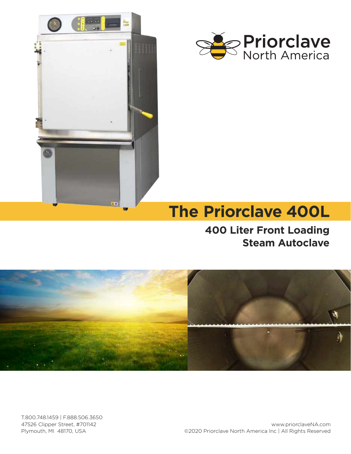



# **The Priorclave 400L**

**400 Liter Front Loading Steam Autoclave**



T.800.748.1459 | F.888.506.3650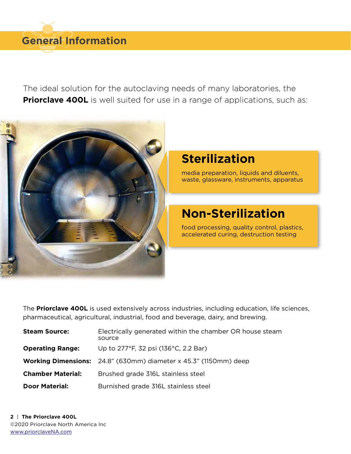The ideal solution for the autoclaving needs of many laboratories, the **Priorclave 400L** is well suited for use in a range of applications, such as:



# **Sterilization**

media preparation, liquids and diluents, waste, glassware, instruments, apparatus

# **Non-Sterilization**

food processing, quality control, plastics, accelerated curing, destruction testing

The **Priorclave 400L** is used extensively across industries, including education, life sciences, pharmaceutical, agricultural, industrial, food and beverage, dairy, and brewing.

| <b>Steam Source:</b>     | Electrically generated within the chamber OR house steam<br>source      |
|--------------------------|-------------------------------------------------------------------------|
| <b>Operating Range:</b>  | Up to 277°F, 32 psi (136°C, 2.2 Bar)                                    |
|                          | <b>Working Dimensions:</b> 24.8" (630mm) diameter x 45.3" (1150mm) deep |
| <b>Chamber Material:</b> | Brushed grade 316L stainless steel                                      |
| <b>Door Material:</b>    | Burnished grade 316L stainless steel                                    |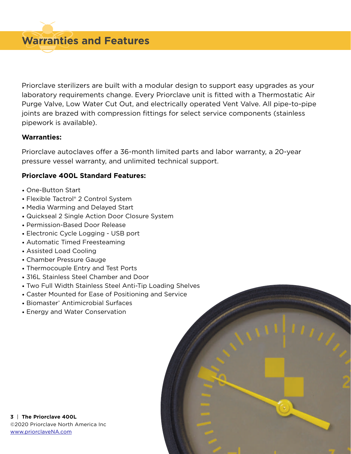**Warranties and Features**

Priorclave sterilizers are built with a modular design to support easy upgrades as your laboratory requirements change. Every Priorclave unit is fitted with a Thermostatic Air Purge Valve, Low Water Cut Out, and electrically operated Vent Valve. All pipe-to-pipe joints are brazed with compression fittings for select service components (stainless pipework is available).

## **Warranties:**

Priorclave autoclaves offer a 36-month limited parts and labor warranty, a 20-year pressure vessel warranty, and unlimited technical support.

# **Priorclave 400L Standard Features:**

- One-Button Start
- Flexible Tactrol® 2 Control System
- Media Warming and Delayed Start
- Quickseal 2 Single Action Door Closure System
- Permission-Based Door Release
- Electronic Cycle Logging USB port
- Automatic Timed Freesteaming
- Assisted Load Cooling
- Chamber Pressure Gauge
- Thermocouple Entry and Test Ports
- 316L Stainless Steel Chamber and Door
- Two Full Width Stainless Steel Anti-Tip Loading Shelves
- Caster Mounted for Ease of Positioning and Service
- Biomaster® Antimicrobial Surfaces
- Energy and Water Conservation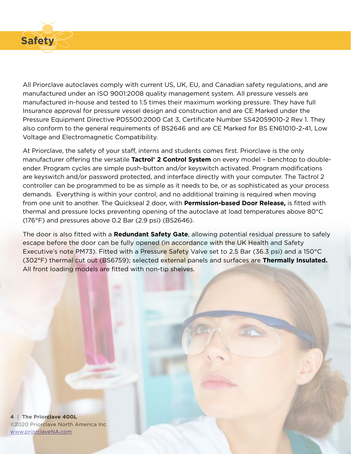

All Priorclave autoclaves comply with current US, UK, EU, and Canadian safety regulations, and are manufactured under an ISO 9001:2008 quality management system. All pressure vessels are manufactured in-house and tested to 1.5 times their maximum working pressure. They have full Insurance approval for pressure vessel design and construction and are CE Marked under the Pressure Equipment Directive PD5500:2000 Cat 3, Certificate Number SS42059010-2 Rev 1. They also conform to the general requirements of BS2646 and are CE Marked for BS EN61010-2-41, Low Voltage and Electromagnetic Compatibility.

At Priorclave, the safety of your staff, interns and students comes first. Priorclave is the only manufacturer offering the versatile **Tactrol® 2 Control System** on every model – benchtop to doubleender. Program cycles are simple push-button and/or keyswitch activated. Program modifications are keyswitch and/or password protected, and interface directly with your computer. The Tactrol 2 controller can be programmed to be as simple as it needs to be, or as sophisticated as your process demands. Everything is within your control, and no additional training is required when moving from one unit to another. The Quickseal 2 door, with **Permission-based Door Release,** is fitted with thermal and pressure locks preventing opening of the autoclave at load temperatures above 80°C (176°F) and pressures above 0.2 Bar (2.9 psi) (BS2646).

The door is also fitted with a **Redundant Safety Gate**, allowing potential residual pressure to safely escape before the door can be fully opened (in accordance with the UK Health and Safety Executive's note PM73). Fitted with a Pressure Safety Valve set to 2.5 Bar (36.3 psi) and a 150°C (302°F) thermal cut out (BS6759); selected external panels and surfaces are **Thermally Insulated.**  All front loading models are fitted with non-tip shelves.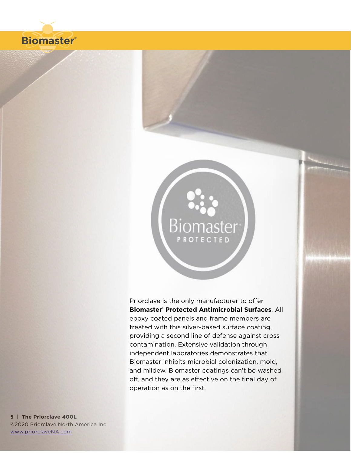

# Biomaster<sup>®</sup> **PROTECTED**

Priorclave is the only manufacturer to offer **Biomaster® Protected Antimicrobial Surfaces**. All epoxy coated panels and frame members are treated with this silver-based surface coating, providing a second line of defense against cross contamination. Extensive validation through independent laboratories demonstrates that Biomaster inhibits microbial colonization, mold, and mildew. Biomaster coatings can't be washed off, and they are as effective on the final day of operation as on the first.

**5** | **The Priorclave 400L**  ©2020 Priorclave North America Inc [www.priorclaveNA.com](http://www.priorclaveNA.com)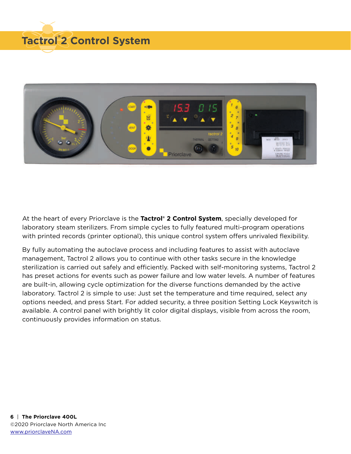



At the heart of every Priorclave is the **Tactrol® 2 Control System**, specially developed for laboratory steam sterilizers. From simple cycles to fully featured multi-program operations with printed records (printer optional), this unique control system offers unrivaled flexibility.

By fully automating the autoclave process and including features to assist with autoclave management, Tactrol 2 allows you to continue with other tasks secure in the knowledge sterilization is carried out safely and efficiently. Packed with self-monitoring systems, Tactrol 2 has preset actions for events such as power failure and low water levels. A number of features are built-in, allowing cycle optimization for the diverse functions demanded by the active laboratory. Tactrol 2 is simple to use: Just set the temperature and time required, select any options needed, and press Start. For added security, a three position Setting Lock Keyswitch is available. A control panel with brightly lit color digital displays, visible from across the room, continuously provides information on status.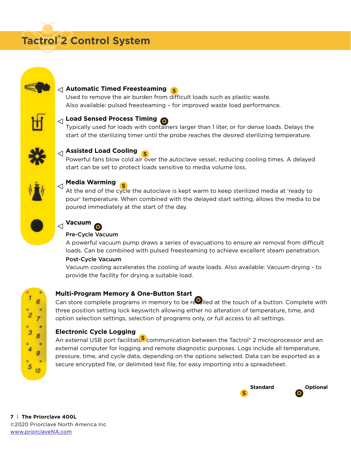



# **Automatic Timed Freesteaming S**

Used to remove the air burden from difficult loads such as plastic waste. Also available: pulsed freesteaming – for improved waste load performance.



# **Load Sensed Process Timing O**

Typically used for loads with containers larger than 1 liter, or for dense loads. Delays the start of the sterilizing timer until the probe reaches the desired sterilizing temperature.



# **Assisted Load Cooling S**

Powerful fans blow cold air over the autoclave vessel, reducing cooling times. A delayed start can be set to protect loads sensitive to media volume loss.



# **Media Warming S**

At the end of the cycle the autoclave is kept warm to keep sterilized media at 'ready to pour' temperature. When combined with the delayed start setting, allows the media to be poured immediately at the start of the day.



# **Vacuum O**

#### Pre-Cycle Vacuum

A powerful vacuum pump draws a series of evacuations to ensure air removal from difficult loads. Can be combined with pulsed freesteaming to achieve excellent steam penetration.

#### Post-Cycle Vacuum

Vacuum cooling accelerates the cooling of waste loads. Also available: Vacuum drying - to provide the facility for drying a suitable load.



# **Multi-Program Memory & One-Button Start**

Can store complete programs in memory to be recalled at the touch of a button. Complete with three position setting lock keyswitch allowing either no alteration of temperature, time, and option selection settings, selection of programs only, or full access to all settings.

### **Electronic Cycle Logging**

An external USB port facilitates communication between the Tactrol® 2 microprocessor and an external computer for logging and remote diagnostic purposes. Logs include all temperature, pressure, time, and cycle data, depending on the options selected. Data can be exported as a secure encrypted file, or delimited text file, for easy importing into a spreadsheet.

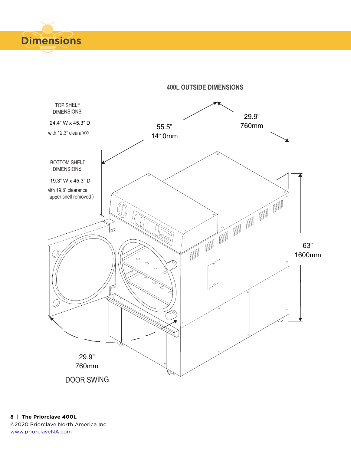

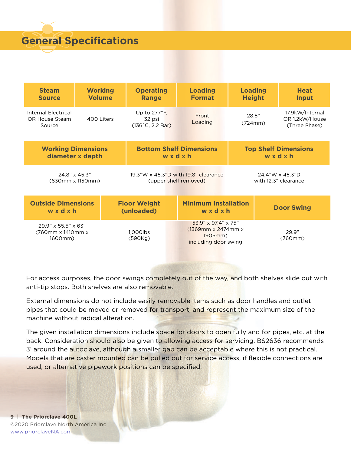

| <b>Steam</b>                                           | <b>Working</b> |                                      | <b>Operating</b>                                             | <b>Loading</b>                                                                  | <b>Loading</b>   |                   | <b>Heat</b>                                        |
|--------------------------------------------------------|----------------|--------------------------------------|--------------------------------------------------------------|---------------------------------------------------------------------------------|------------------|-------------------|----------------------------------------------------|
| <b>Source</b>                                          | <b>Volume</b>  |                                      | <b>Range</b>                                                 | <b>Format</b>                                                                   | <b>Height</b>    |                   | Input                                              |
| Internal Electrical<br>OR House Steam<br>Source        | 400 Liters     |                                      | Up to $277^\circ F$ ,<br>32 psi<br>$(136^{\circ}C, 2.2 Bar)$ | Front<br>Loading                                                                | 28.5"<br>(724mm) |                   | 17.9kW/Internal<br>OR 1.2kW/House<br>(Three Phase) |
| <b>Working Dimensions</b>                              |                | <b>Bottom Shelf Dimensions</b>       |                                                              | <b>Top Shelf Dimensions</b>                                                     |                  |                   |                                                    |
| diameter x depth                                       |                | wxdxh                                |                                                              | wxdxh                                                                           |                  |                   |                                                    |
| 24.8" x 45.3"                                          |                | 19.3"W x 45.3"D with 19.8" clearance |                                                              | 24.4"W x 45.3"D                                                                 |                  |                   |                                                    |
| (630mm x 1150mm)                                       |                | (upper shelf removed)                |                                                              | with 12.3" clearance                                                            |                  |                   |                                                    |
| <b>Outside Dimensions</b><br>wxdxh                     |                | <b>Floor Weight</b><br>(unloaded)    |                                                              | <b>Minimum Installation</b><br>wxdxh                                            |                  | <b>Door Swing</b> |                                                    |
| $29.9$ " x 55.5" x 63"<br>(760mm x 1410mm x<br>1600mm) |                |                                      | 1,000lbs<br>(590Kg)                                          | 53.9" x 97.4" x 75"<br>$(1369$ mm x 2474mm x<br>1905mm)<br>including door swing |                  | 29.9"<br>(760mm)  |                                                    |

For access purposes, the door swings completely out of the way, and both shelves slide out with anti-tip stops. Both shelves are also removable.

External dimensions do not include easily removable items such as door handles and outlet pipes that could be moved or removed for transport, and represent the maximum size of the machine without radical alteration.

The given installation dimensions include space for doors to open fully and for pipes, etc. at the back. Consideration should also be given to allowing access for servicing. BS2636 recommends 3' around the autoclave, although a smaller gap can be acceptable where this is not practical. Models that are caster mounted can be pulled out for service access, if flexible connections are used, or alternative pipework positions can be specified.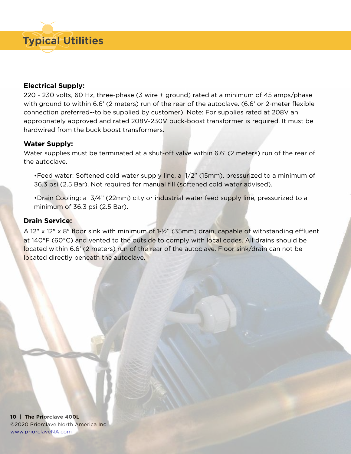

### **Electrical Supply:**

220 - 230 volts, 60 Hz, three-phase (3 wire + ground) rated at a minimum of 45 amps/phase with ground to within 6.6' (2 meters) run of the rear of the autoclave. (6.6' or 2-meter flexible connection preferred--to be supplied by customer). Note: For supplies rated at 208V an appropriately approved and rated 208V-230V buck-boost transformer is required. It must be hardwired from the buck boost transformers.

## **Water Supply:**

Water supplies must be terminated at a shut-off valve within 6.6' (2 meters) run of the rear of the autoclave.

•Feed water: Softened cold water supply line, a 1/2" (15mm), pressurized to a minimum of 36.3 psi (2.5 Bar). Not required for manual fill (softened cold water advised).

•Drain Cooling: a 3/4" (22mm) city or industrial water feed supply line, pressurized to a minimum of 36.3 psi (2.5 Bar).

## **Drain Service:**

A 12" x 12" x 8" floor sink with minimum of 1-½" (35mm) drain, capable of withstanding effluent at 140°F (60°C) and vented to the outside to comply with local codes. All drains should be located within 6.6' (2 meters) run of the rear of the autoclave. Floor sink/drain can not be located directly beneath the autoclave.

**10** | **The Priorclave 400L**  ©2020 Priorclave North America Inc [www.priorclaveNA.com](http://www.priorclaveNA.com)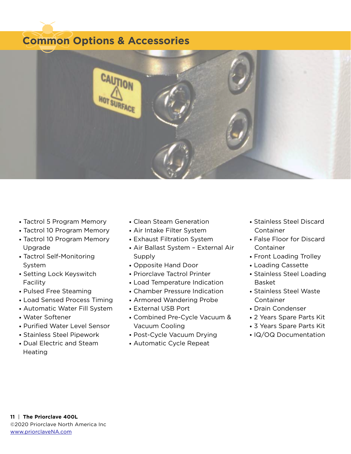# **Common Options & Accessories**



- Tactrol 5 Program Memory
- Tactrol 10 Program Memory
- Tactrol 10 Program Memory Upgrade
- Tactrol Self-Monitoring System
- Setting Lock Keyswitch Facility
- Pulsed Free Steaming
- Load Sensed Process Timing
- Automatic Water Fill System
- Water Softener
- Purified Water Level Sensor
- Stainless Steel Pipework
- Dual Electric and Steam **Heating**
- Clean Steam Generation
- Air Intake Filter System
- Exhaust Filtration System
- Air Ballast System External Air Supply
- Opposite Hand Door
- Priorclave Tactrol Printer
- Load Temperature Indication
- Chamber Pressure Indication
- Armored Wandering Probe
- External USB Port
- Combined Pre-Cycle Vacuum & Vacuum Cooling
- Post-Cycle Vacuum Drying
- Automatic Cycle Repeat
- Stainless Steel Discard Container
- False Floor for Discard Container
- Front Loading Trolley
- Loading Cassette
- Stainless Steel Loading Basket
- Stainless Steel Waste Container
- Drain Condenser
- 2 Years Spare Parts Kit
- 3 Years Spare Parts Kit
- IQ/OQ Documentation